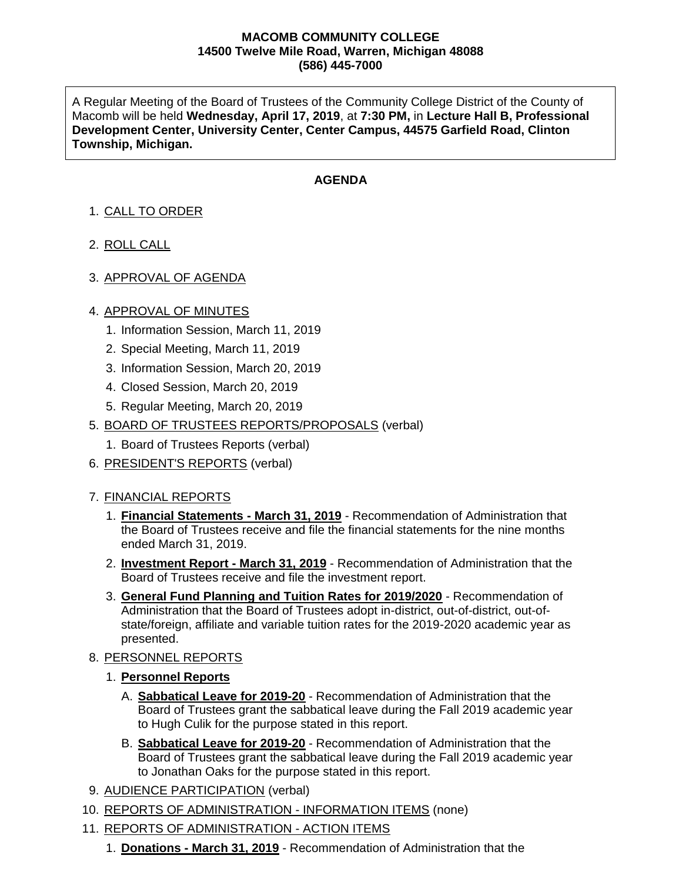### **MACOMB COMMUNITY COLLEGE 14500 Twelve Mile Road, Warren, Michigan 48088 (586) 445-7000**

A Regular Meeting of the Board of Trustees of the Community College District of the County of Macomb will be held **Wednesday, April 17, 2019**, at **7:30 PM,** in **Lecture Hall B, Professional Development Center, University Center, Center Campus, 44575 Garfield Road, Clinton Township, Michigan.**

# **AGENDA**

- 1. CALL TO ORDER
- 2. ROLL CALL
- 3. APPROVAL OF AGENDA

## 4. APPROVAL OF MINUTES

- 1. Information Session, March 11, 2019
- 2. Special Meeting, March 11, 2019
- 3. Information Session, March 20, 2019
- 4. Closed Session, March 20, 2019
- 5. Regular Meeting, March 20, 2019
- 5. BOARD OF TRUSTEES REPORTS/PROPOSALS (verbal)
	- 1. Board of Trustees Reports (verbal)
- 6. PRESIDENT'S REPORTS (verbal)

## 7. FINANCIAL REPORTS

- 1. **Financial Statements - March 31, 2019** Recommendation of Administration that the Board of Trustees receive and file the financial statements for the nine months ended March 31, 2019.
- 2. **Investment Report - March 31, 2019** Recommendation of Administration that the Board of Trustees receive and file the investment report.
- 3. **General Fund Planning and Tuition Rates for 2019/2020** Recommendation of Administration that the Board of Trustees adopt in-district, out-of-district, out-ofstate/foreign, affiliate and variable tuition rates for the 2019-2020 academic year as presented.

## 8. PERSONNEL REPORTS

- 1. **Personnel Reports**
	- A. **Sabbatical Leave for 2019-20** Recommendation of Administration that the Board of Trustees grant the sabbatical leave during the Fall 2019 academic year to Hugh Culik for the purpose stated in this report.
	- B. **Sabbatical Leave for 2019-20** Recommendation of Administration that the Board of Trustees grant the sabbatical leave during the Fall 2019 academic year to Jonathan Oaks for the purpose stated in this report.
- 9. AUDIENCE PARTICIPATION (verbal)
- 10. REPORTS OF ADMINISTRATION INFORMATION ITEMS (none)
- 11. REPORTS OF ADMINISTRATION ACTION ITEMS
	- 1. **Donations - March 31, 2019** Recommendation of Administration that the